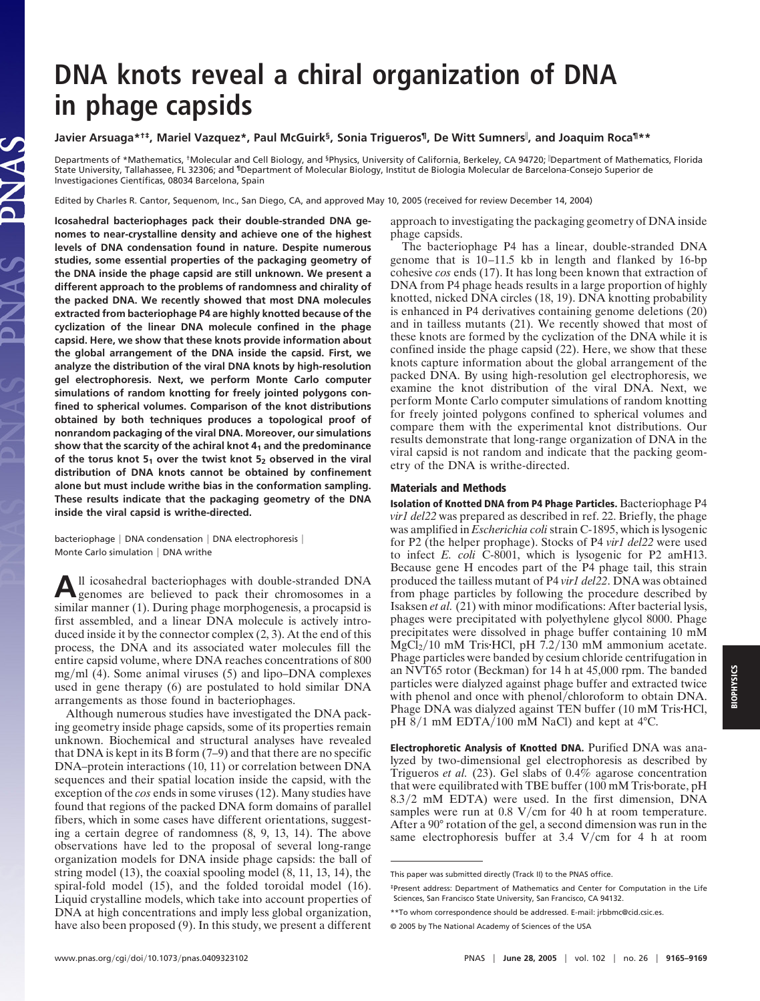# **DNA knots reveal a chiral organization of DNA in phage capsids**

## **Javier Arsuaga\*†‡, Mariel Vazquez\*, Paul McGuirk§, Sonia Trigueros¶, De Witt Sumners , and Joaquim Roca¶\*\***

Departments of \*Mathematics, †Molecular and Cell Biology, and §Physics, University of California, Berkeley, CA 94720; Department of Mathematics, Florida State University, Tallahassee, FL 32306; and ¶Department of Molecular Biology, Institut de Biologia Molecular de Barcelona-Consejo Superior de Investigaciones Científicas, 08034 Barcelona, Spain

Edited by Charles R. Cantor, Sequenom, Inc., San Diego, CA, and approved May 10, 2005 (received for review December 14, 2004)

**Icosahedral bacteriophages pack their double-stranded DNA genomes to near-crystalline density and achieve one of the highest levels of DNA condensation found in nature. Despite numerous studies, some essential properties of the packaging geometry of the DNA inside the phage capsid are still unknown. We present a different approach to the problems of randomness and chirality of the packed DNA. We recently showed that most DNA molecules extracted from bacteriophage P4 are highly knotted because of the cyclization of the linear DNA molecule confined in the phage capsid. Here, we show that these knots provide information about the global arrangement of the DNA inside the capsid. First, we analyze the distribution of the viral DNA knots by high-resolution gel electrophoresis. Next, we perform Monte Carlo computer simulations of random knotting for freely jointed polygons confined to spherical volumes. Comparison of the knot distributions obtained by both techniques produces a topological proof of nonrandom packaging of the viral DNA. Moreover, our simulations show that the scarcity of the achiral knot 41 and the predominance of the torus knot 51 over the twist knot 52 observed in the viral distribution of DNA knots cannot be obtained by confinement alone but must include writhe bias in the conformation sampling. These results indicate that the packaging geometry of the DNA inside the viral capsid is writhe-directed.**

bacteriophage | DNA condensation | DNA electrophoresis | Monte Carlo simulation | DNA writhe

**A**ll icosahedral bacteriophages with double-stranded DNA genomes are believed to pack their chromosomes in a similar manner (1). During phage morphogenesis, a procapsid is first assembled, and a linear DNA molecule is actively introduced inside it by the connector complex (2, 3). At the end of this process, the DNA and its associated water molecules fill the entire capsid volume, where DNA reaches concentrations of 800 mg/ml (4). Some animal viruses (5) and lipo–DNA complexes used in gene therapy (6) are postulated to hold similar DNA arrangements as those found in bacteriophages.

Although numerous studies have investigated the DNA packing geometry inside phage capsids, some of its properties remain unknown. Biochemical and structural analyses have revealed that DNA is kept in its B form (7–9) and that there are no specific DNA–protein interactions (10, 11) or correlation between DNA sequences and their spatial location inside the capsid, with the exception of the *cos* ends in some viruses (12). Many studies have found that regions of the packed DNA form domains of parallel fibers, which in some cases have different orientations, suggesting a certain degree of randomness (8, 9, 13, 14). The above observations have led to the proposal of several long-range organization models for DNA inside phage capsids: the ball of string model (13), the coaxial spooling model (8, 11, 13, 14), the spiral-fold model (15), and the folded toroidal model (16). Liquid crystalline models, which take into account properties of DNA at high concentrations and imply less global organization, have also been proposed (9). In this study, we present a different

approach to investigating the packaging geometry of DNA inside phage capsids.

The bacteriophage P4 has a linear, double-stranded DNA genome that is 10–11.5 kb in length and flanked by 16-bp cohesive *cos* ends (17). It has long been known that extraction of DNA from P4 phage heads results in a large proportion of highly knotted, nicked DNA circles (18, 19). DNA knotting probability is enhanced in P4 derivatives containing genome deletions (20) and in tailless mutants (21). We recently showed that most of these knots are formed by the cyclization of the DNA while it is confined inside the phage capsid (22). Here, we show that these knots capture information about the global arrangement of the packed DNA. By using high-resolution gel electrophoresis, we examine the knot distribution of the viral DNA. Next, we perform Monte Carlo computer simulations of random knotting for freely jointed polygons confined to spherical volumes and compare them with the experimental knot distributions. Our results demonstrate that long-range organization of DNA in the viral capsid is not random and indicate that the packing geometry of the DNA is writhe-directed.

## **Materials and Methods**

**Isolation of Knotted DNA from P4 Phage Particles.** Bacteriophage P4 *vir1 del22* was prepared as described in ref. 22. Briefly, the phage was amplified in *Escherichia coli* strain C-1895, which is lysogenic for P2 (the helper prophage). Stocks of P4 *vir1 del22* were used to infect *E. coli* C-8001, which is lysogenic for P2 amH13. Because gene H encodes part of the P4 phage tail, this strain produced the tailless mutant of P4 *vir1 del22*. DNA was obtained from phage particles by following the procedure described by Isaksen *et al.* (21) with minor modifications: After bacterial lysis, phages were precipitated with polyethylene glycol 8000. Phage precipitates were dissolved in phage buffer containing 10 mM  $MgCl<sub>2</sub>/10$  mM Tris·HCl, pH 7.2/130 mM ammonium acetate. Phage particles were banded by cesium chloride centrifugation in an NVT65 rotor (Beckman) for 14 h at 45,000 rpm. The banded particles were dialyzed against phage buffer and extracted twice with phenol and once with phenol/chloroform to obtain DNA. Phage DNA was dialyzed against TEN buffer (10 mM Tris $HCl$ , pH  $8/1$  mM EDTA/100 mM NaCl) and kept at 4 $^{\circ}$ C.

**Electrophoretic Analysis of Knotted DNA.** Purified DNA was analyzed by two-dimensional gel electrophoresis as described by Trigueros *et al.* (23). Gel slabs of 0.4% agarose concentration that were equilibrated with TBE buffer (100 mM Tris borate, pH 8.3/2 mM EDTA) were used. In the first dimension, DNA samples were run at  $0.8 \text{ V/cm}$  for 40 h at room temperature. After a 90° rotation of the gel, a second dimension was run in the same electrophoresis buffer at  $3.4$  V/cm for 4 h at room

This paper was submitted directly (Track II) to the PNAS office.

<sup>‡</sup>Present address: Department of Mathematics and Center for Computation in the Life Sciences, San Francisco State University, San Francisco, CA 94132.

<sup>\*\*</sup>To whom correspondence should be addressed. E-mail: jrbbmc@cid.csic.es.

<sup>© 2005</sup> by The National Academy of Sciences of the USA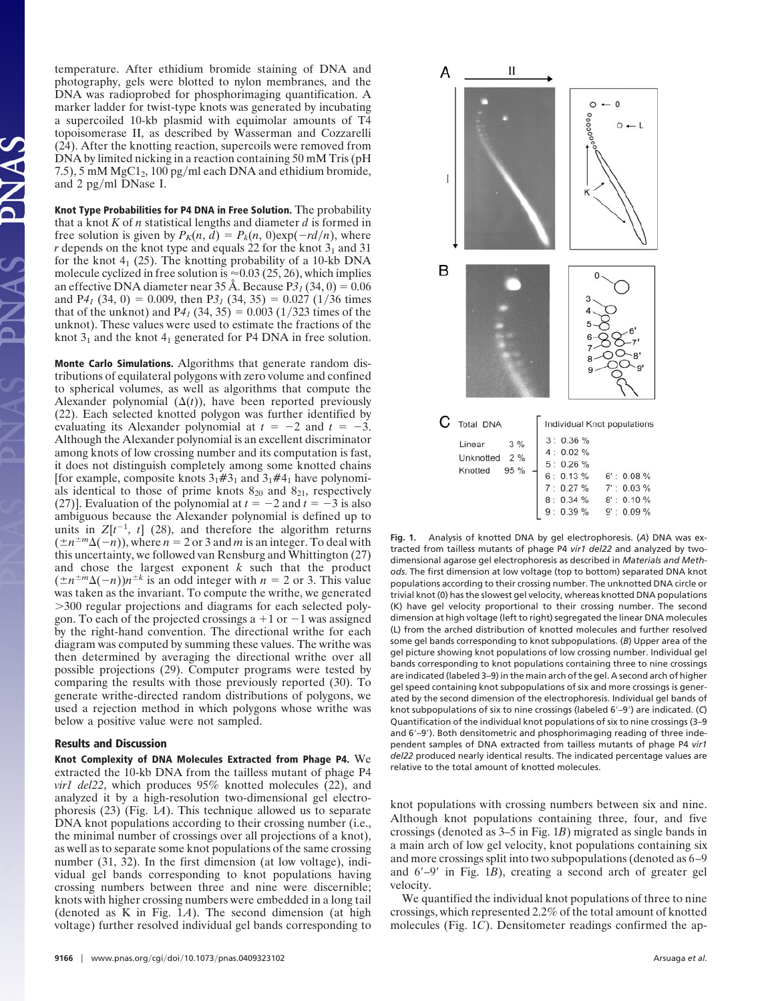temperature. After ethidium bromide staining of DNA and photography, gels were blotted to nylon membranes, and the DNA was radioprobed for phosphorimaging quantification. A marker ladder for twist-type knots was generated by incubating a supercoiled 10-kb plasmid with equimolar amounts of T4 topoisomerase II, as described by Wasserman and Cozzarelli (24). After the knotting reaction, supercoils were removed from DNA by limited nicking in a reaction containing 50 mM Tris (pH 7.5), 5 mM  $MgC1<sub>2</sub>$ , 100 pg/ml each DNA and ethidium bromide, and 2 pg/ml DNase I.

**Knot Type Probabilities for P4 DNA in Free Solution.** The probability that a knot *K* of *n* statistical lengths and diameter *d* is formed in free solution is given by  $P_K(n, d) = P_k(n, 0) \exp(-rd/n)$ , where  $r$  depends on the knot type and equals 22 for the knot  $3<sub>1</sub>$  and 31 for the knot  $4_1$  (25). The knotting probability of a 10-kb DNA molecule cyclized in free solution is  $\approx 0.03$  (25, 26), which implies an effective DNA diameter near 35 Å. Because  $P_1(34, 0) = 0.06$ and P<sub>4<sup>1</sub></sup> (34, 0) = 0.009, then P<sub>3<sup>1</sub></sup> (34, 35) = 0.027 (1/36 times</sub></sub> that of the unknot) and  $P4_1$  (34, 35) = 0.003 (1/323 times of the unknot). These values were used to estimate the fractions of the knot  $3<sub>1</sub>$  and the knot  $4<sub>1</sub>$  generated for P4 DNA in free solution.

**Monte Carlo Simulations.** Algorithms that generate random distributions of equilateral polygons with zero volume and confined to spherical volumes, as well as algorithms that compute the Alexander polynomial  $(\Delta(t))$ , have been reported previously (22). Each selected knotted polygon was further identified by evaluating its Alexander polynomial at  $t = -2$  and  $t = -3$ . Although the Alexander polynomial is an excellent discriminator among knots of low crossing number and its computation is fast, it does not distinguish completely among some knotted chains [for example, composite knots  $3_1\#3_1$  and  $3_1\#4_1$  have polynomials identical to those of prime knots  $8_{20}$  and  $8_{21}$ , respectively (27)]. Evaluation of the polynomial at  $t = -2$  and  $t = -3$  is also ambiguous because the Alexander polynomial is defined up to units in  $Z[t^{-1}, t]$  (28), and therefore the algorithm returns  $(\pm n^{\pm m}\Delta(-n))$ , where  $n = 2$  or 3 and *m* is an integer. To deal with this uncertainty, we followed van Rensburg and Whittington (27) and chose the largest exponent *k* such that the product  $(\pm n^{\pm m}\Delta(-n))n^{\pm k}$  is an odd integer with  $n = 2$  or 3. This value was taken as the invariant. To compute the writhe, we generated 300 regular projections and diagrams for each selected polygon. To each of the projected crossings  $a + 1$  or  $-1$  was assigned by the right-hand convention. The directional writhe for each diagram was computed by summing these values. The writhe was then determined by averaging the directional writhe over all possible projections (29). Computer programs were tested by comparing the results with those previously reported (30). To generate writhe-directed random distributions of polygons, we used a rejection method in which polygons whose writhe was below a positive value were not sampled.

### **Results and Discussion**

**Knot Complexity of DNA Molecules Extracted from Phage P4.** We extracted the 10-kb DNA from the tailless mutant of phage P4 *vir1 del22*, which produces 95% knotted molecules (22), and analyzed it by a high-resolution two-dimensional gel electrophoresis (23) (Fig. 1*A*). This technique allowed us to separate DNA knot populations according to their crossing number (i.e., the minimal number of crossings over all projections of a knot), as well as to separate some knot populations of the same crossing number (31, 32). In the first dimension (at low voltage), individual gel bands corresponding to knot populations having crossing numbers between three and nine were discernible; knots with higher crossing numbers were embedded in a long tail (denoted as K in Fig. 1*A*). The second dimension (at high voltage) further resolved individual gel bands corresponding to



**C** Total DNA

Linear

 $3\%$ 

П

 $\circ$  $-0$ 

Individual Knot populations

 $6'$ : 0.08 %

 $7: 0.03 \%$ 

 $8'$ : 0.10 %

 $9' : 0.09 \%$ 

 $3:0.36%$ 

 $4:0.02%$ 

 $0 + L$ 

А

I

B

knot populations with crossing numbers between six and nine. Although knot populations containing three, four, and five crossings (denoted as 3–5 in Fig. 1*B*) migrated as single bands in a main arch of low gel velocity, knot populations containing six and more crossings split into two subpopulations (denoted as 6–9 and  $6'-9'$  in Fig. 1*B*), creating a second arch of greater gel velocity.

knot subpopulations of six to nine crossings (labeled 6–9) are indicated. (*C*) Quantification of the individual knot populations of six to nine crossings (3–9 and 6'-9'). Both densitometric and phosphorimaging reading of three independent samples of DNA extracted from tailless mutants of phage P4 *vir1 del22* produced nearly identical results. The indicated percentage values are

relative to the total amount of knotted molecules.

We quantified the individual knot populations of three to nine crossings, which represented 2.2% of the total amount of knotted molecules (Fig. 1*C*). Densitometer readings confirmed the ap-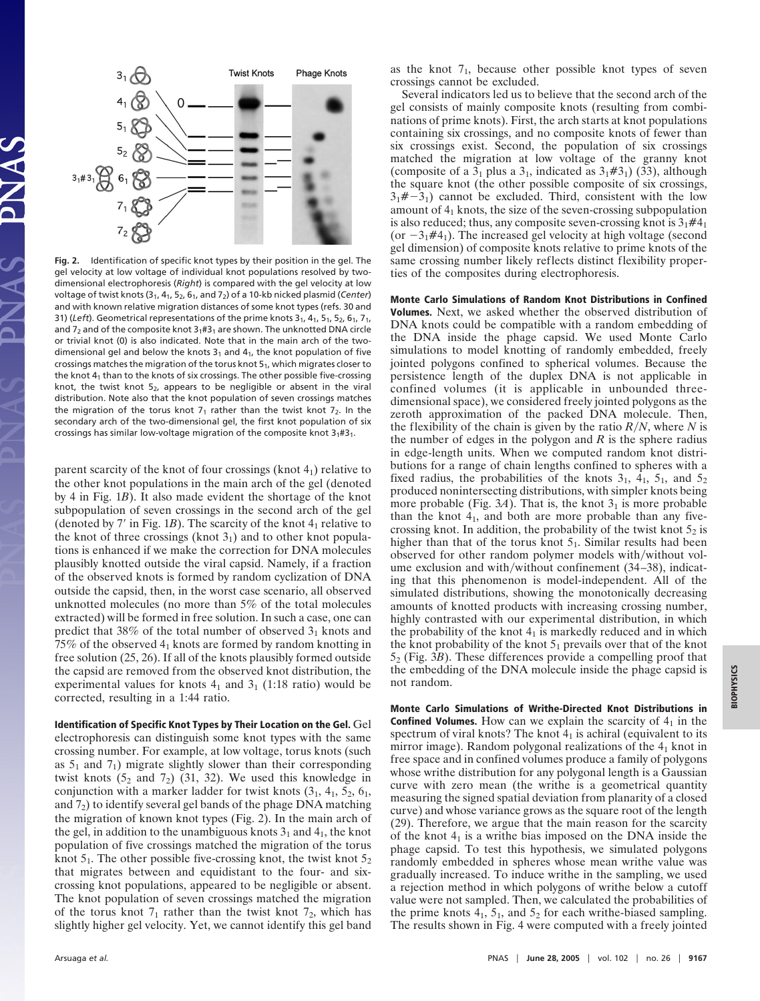

**Fig. 2.** Identification of specific knot types by their position in the gel. The gel velocity at low voltage of individual knot populations resolved by twodimensional electrophoresis (*Right*) is compared with the gel velocity at low voltage of twist knots (31, 41, 52, 61, and 72) of a 10-kb nicked plasmid (*Center*) and with known relative migration distances of some knot types (refs. 30 and 31) (*Left*). Geometrical representations of the prime knots 3<sub>1</sub>, 4<sub>1</sub>, 5<sub>1</sub>, 5<sub>2</sub>, 6<sub>1</sub>, 7<sub>1</sub>, and  $7<sub>2</sub>$  and of the composite knot  $3<sub>1</sub>#3<sub>1</sub>$  are shown. The unknotted DNA circle or trivial knot (0) is also indicated. Note that in the main arch of the twodimensional gel and below the knots  $3<sub>1</sub>$  and  $4<sub>1</sub>$ , the knot population of five crossings matches the migration of the torus knot  $5<sub>1</sub>$ , which migrates closer to the knot  $4<sub>1</sub>$  than to the knots of six crossings. The other possible five-crossing knot, the twist knot  $5<sub>2</sub>$ , appears to be negligible or absent in the viral distribution. Note also that the knot population of seven crossings matches the migration of the torus knot  $7<sub>1</sub>$  rather than the twist knot  $7<sub>2</sub>$ . In the secondary arch of the two-dimensional gel, the first knot population of six crossings has similar low-voltage migration of the composite knot  $3<sub>1</sub>#3<sub>1</sub>$ .

parent scarcity of the knot of four crossings (knot  $4<sub>1</sub>$ ) relative to the other knot populations in the main arch of the gel (denoted by 4 in Fig. 1*B*). It also made evident the shortage of the knot subpopulation of seven crossings in the second arch of the gel (denoted by 7' in Fig. 1*B*). The scarcity of the knot  $4<sub>1</sub>$  relative to the knot of three crossings (knot  $3<sub>1</sub>$ ) and to other knot populations is enhanced if we make the correction for DNA molecules plausibly knotted outside the viral capsid. Namely, if a fraction of the observed knots is formed by random cyclization of DNA outside the capsid, then, in the worst case scenario, all observed unknotted molecules (no more than 5% of the total molecules extracted) will be formed in free solution. In such a case, one can predict that 38% of the total number of observed  $3<sub>1</sub>$  knots and 75% of the observed  $4<sub>1</sub>$  knots are formed by random knotting in free solution (25, 26). If all of the knots plausibly formed outside the capsid are removed from the observed knot distribution, the experimental values for knots  $4<sub>1</sub>$  and  $3<sub>1</sub>$  (1:18 ratio) would be corrected, resulting in a 1:44 ratio.

**Identification of Specific Knot Types by Their Location on the Gel.** Gel electrophoresis can distinguish some knot types with the same crossing number. For example, at low voltage, torus knots (such as  $5<sub>1</sub>$  and  $7<sub>1</sub>$ ) migrate slightly slower than their corresponding twist knots  $(5_2 \text{ and } 7_2)$   $(31, 32)$ . We used this knowledge in conjunction with a marker ladder for twist knots  $(3<sub>1</sub>, 4<sub>1</sub>, 5<sub>2</sub>, 6<sub>1</sub>)$ , and  $7<sub>2</sub>$ ) to identify several gel bands of the phage DNA matching the migration of known knot types (Fig. 2). In the main arch of the gel, in addition to the unambiguous knots  $3<sub>1</sub>$  and  $4<sub>1</sub>$ , the knot population of five crossings matched the migration of the torus knot  $5<sub>1</sub>$ . The other possible five-crossing knot, the twist knot  $5<sub>2</sub>$ that migrates between and equidistant to the four- and sixcrossing knot populations, appeared to be negligible or absent. The knot population of seven crossings matched the migration of the torus knot  $7<sub>1</sub>$  rather than the twist knot  $7<sub>2</sub>$ , which has slightly higher gel velocity. Yet, we cannot identify this gel band as the knot  $7<sub>1</sub>$ , because other possible knot types of seven crossings cannot be excluded.

Several indicators led us to believe that the second arch of the gel consists of mainly composite knots (resulting from combinations of prime knots). First, the arch starts at knot populations containing six crossings, and no composite knots of fewer than six crossings exist. Second, the population of six crossings matched the migration at low voltage of the granny knot (composite of a  $3_1$  plus a  $3_1$ , indicated as  $3_1\#3_1$ ) (33), although the square knot (the other possible composite of six crossings,  $3<sub>1</sub># - 3<sub>1</sub>$  cannot be excluded. Third, consistent with the low amount of  $4<sub>1</sub>$  knots, the size of the seven-crossing subpopulation is also reduced; thus, any composite seven-crossing knot is  $3<sub>1</sub>\#4<sub>1</sub>$ (or  $-3<sub>1</sub>\#4<sub>1</sub>$ ). The increased gel velocity at high voltage (second gel dimension) of composite knots relative to prime knots of the same crossing number likely reflects distinct flexibility properties of the composites during electrophoresis.

**Monte Carlo Simulations of Random Knot Distributions in Confined Volumes.** Next, we asked whether the observed distribution of DNA knots could be compatible with a random embedding of the DNA inside the phage capsid. We used Monte Carlo simulations to model knotting of randomly embedded, freely jointed polygons confined to spherical volumes. Because the persistence length of the duplex DNA is not applicable in confined volumes (it is applicable in unbounded threedimensional space), we considered freely jointed polygons as the zeroth approximation of the packed DNA molecule. Then, the flexibility of the chain is given by the ratio  $R/N$ , where N is the number of edges in the polygon and *R* is the sphere radius in edge-length units. When we computed random knot distributions for a range of chain lengths confined to spheres with a fixed radius, the probabilities of the knots  $3<sub>1</sub>$ ,  $4<sub>1</sub>$ ,  $5<sub>1</sub>$ , and  $5<sub>2</sub>$ produced nonintersecting distributions, with simpler knots being more probable (Fig.  $3A$ ). That is, the knot  $3<sub>1</sub>$  is more probable than the knot  $4<sub>1</sub>$ , and both are more probable than any fivecrossing knot. In addition, the probability of the twist knot  $5<sub>2</sub>$  is higher than that of the torus knot  $5<sub>1</sub>$ . Similar results had been observed for other random polymer models with/without volume exclusion and with/without confinement  $(34-38)$ , indicating that this phenomenon is model-independent. All of the simulated distributions, showing the monotonically decreasing amounts of knotted products with increasing crossing number, highly contrasted with our experimental distribution, in which the probability of the knot  $4<sub>1</sub>$  is markedly reduced and in which the knot probability of the knot  $5<sub>1</sub>$  prevails over that of the knot 52 (Fig. 3*B*). These differences provide a compelling proof that the embedding of the DNA molecule inside the phage capsid is not random.

**Monte Carlo Simulations of Writhe-Directed Knot Distributions in Confined Volumes.** How can we explain the scarcity of  $4<sub>1</sub>$  in the spectrum of viral knots? The knot  $4<sub>1</sub>$  is achiral (equivalent to its mirror image). Random polygonal realizations of the  $4<sub>1</sub>$  knot in free space and in confined volumes produce a family of polygons whose writhe distribution for any polygonal length is a Gaussian curve with zero mean (the writhe is a geometrical quantity measuring the signed spatial deviation from planarity of a closed curve) and whose variance grows as the square root of the length (29). Therefore, we argue that the main reason for the scarcity of the knot  $4<sub>1</sub>$  is a writhe bias imposed on the DNA inside the phage capsid. To test this hypothesis, we simulated polygons randomly embedded in spheres whose mean writhe value was gradually increased. To induce writhe in the sampling, we used a rejection method in which polygons of writhe below a cutoff value were not sampled. Then, we calculated the probabilities of the prime knots  $4<sub>1</sub>$ ,  $5<sub>1</sub>$ , and  $5<sub>2</sub>$  for each writhe-biased sampling. The results shown in Fig. 4 were computed with a freely jointed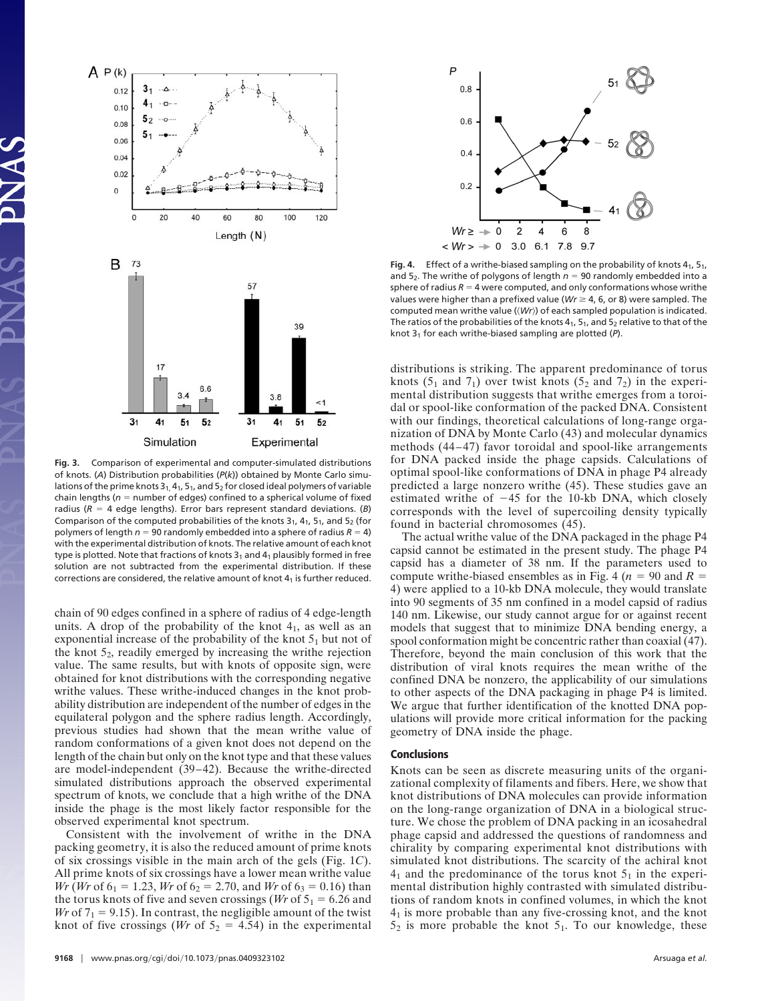

**Fig. 3.** Comparison of experimental and computer-simulated distributions of knots. (*A*) Distribution probabilities (*P*(*k*)) obtained by Monte Carlo simulations of the prime knots  $31, 41, 51$ , and  $52$  for closed ideal polymers of variable chain lengths ( $n =$  number of edges) confined to a spherical volume of fixed radius ( $R = 4$  edge lengths). Error bars represent standard deviations. (B) Comparison of the computed probabilities of the knots  $3<sub>1</sub>$ ,  $4<sub>1</sub>$ ,  $5<sub>1</sub>$ , and  $5<sub>2</sub>$  (for polymers of length  $n = 90$  randomly embedded into a sphere of radius  $R = 4$ ) with the experimental distribution of knots. The relative amount of each knot type is plotted. Note that fractions of knots 31 and 41 plausibly formed in free solution are not subtracted from the experimental distribution. If these corrections are considered, the relative amount of knot 41 is further reduced.

chain of 90 edges confined in a sphere of radius of 4 edge-length units. A drop of the probability of the knot  $4<sub>1</sub>$ , as well as an exponential increase of the probability of the knot  $5<sub>1</sub>$  but not of the knot 52, readily emerged by increasing the writhe rejection value. The same results, but with knots of opposite sign, were obtained for knot distributions with the corresponding negative writhe values. These writhe-induced changes in the knot probability distribution are independent of the number of edges in the equilateral polygon and the sphere radius length. Accordingly, previous studies had shown that the mean writhe value of random conformations of a given knot does not depend on the length of the chain but only on the knot type and that these values are model-independent (39–42). Because the writhe-directed simulated distributions approach the observed experimental spectrum of knots, we conclude that a high writhe of the DNA inside the phage is the most likely factor responsible for the observed experimental knot spectrum.

Consistent with the involvement of writhe in the DNA packing geometry, it is also the reduced amount of prime knots of six crossings visible in the main arch of the gels (Fig. 1*C*). All prime knots of six crossings have a lower mean writhe value *Wr* (*Wr* of  $6_1 = 1.23$ , *Wr* of  $6_2 = 2.70$ , and *Wr* of  $6_3 = 0.16$ ) than the torus knots of five and seven crossings (*Wr* of  $5<sub>1</sub> = 6.26$  and *Wr* of  $7<sub>1</sub> = 9.15$ . In contrast, the negligible amount of the twist knot of five crossings (*Wr* of  $5<sub>2</sub> = 4.54$ ) in the experimental



Fig. 4. Effect of a writhe-biased sampling on the probability of knots 4<sub>1</sub>, 5<sub>1</sub>, and  $5<sub>2</sub>$ . The writhe of polygons of length  $n = 90$  randomly embedded into a sphere of radius  $R = 4$  were computed, and only conformations whose writhe values were higher than a prefixed value ( $Wr \geq 4$ , 6, or 8) were sampled. The computed mean writhe value ( $\langle Wr \rangle$ ) of each sampled population is indicated. The ratios of the probabilities of the knots  $4<sub>1</sub>$ ,  $5<sub>1</sub>$ , and  $5<sub>2</sub>$  relative to that of the knot 31 for each writhe-biased sampling are plotted (*P*).

distributions is striking. The apparent predominance of torus knots  $(5_1 \text{ and } 7_1)$  over twist knots  $(5_2 \text{ and } 7_2)$  in the experimental distribution suggests that writhe emerges from a toroidal or spool-like conformation of the packed DNA. Consistent with our findings, theoretical calculations of long-range organization of DNA by Monte Carlo (43) and molecular dynamics methods (44–47) favor toroidal and spool-like arrangements for DNA packed inside the phage capsids. Calculations of optimal spool-like conformations of DNA in phage P4 already predicted a large nonzero writhe (45). These studies gave an estimated writhe of  $-45$  for the 10-kb DNA, which closely corresponds with the level of supercoiling density typically found in bacterial chromosomes (45).

The actual writhe value of the DNA packaged in the phage P4 capsid cannot be estimated in the present study. The phage P4 capsid has a diameter of 38 nm. If the parameters used to compute writhe-biased ensembles as in Fig. 4 ( $n = 90$  and  $R =$ 4) were applied to a 10-kb DNA molecule, they would translate into 90 segments of 35 nm confined in a model capsid of radius 140 nm. Likewise, our study cannot argue for or against recent models that suggest that to minimize DNA bending energy, a spool conformation might be concentric rather than coaxial (47). Therefore, beyond the main conclusion of this work that the distribution of viral knots requires the mean writhe of the confined DNA be nonzero, the applicability of our simulations to other aspects of the DNA packaging in phage P4 is limited. We argue that further identification of the knotted DNA populations will provide more critical information for the packing geometry of DNA inside the phage.

### **Conclusions**

Knots can be seen as discrete measuring units of the organizational complexity of filaments and fibers. Here, we show that knot distributions of DNA molecules can provide information on the long-range organization of DNA in a biological structure. We chose the problem of DNA packing in an icosahedral phage capsid and addressed the questions of randomness and chirality by comparing experimental knot distributions with simulated knot distributions. The scarcity of the achiral knot  $4<sub>1</sub>$  and the predominance of the torus knot  $5<sub>1</sub>$  in the experimental distribution highly contrasted with simulated distributions of random knots in confined volumes, in which the knot 41 is more probable than any five-crossing knot, and the knot  $5<sub>2</sub>$  is more probable the knot  $5<sub>1</sub>$ . To our knowledge, these